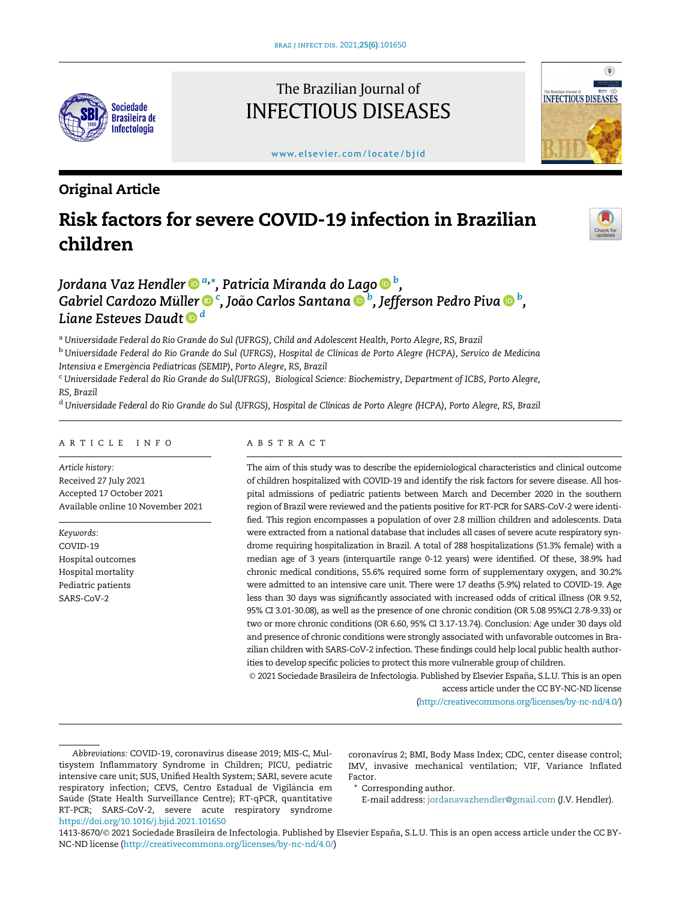

## The Brazilian Journal of INFECTIOUS DISEASES

www.elsevier.com/locate/bjid



### Original Article

# Risk factors for severe COVID-19 infection in Brazilian children



## Jordana Vaz Hendler ® <sup>[a,](http://orcid.org/0000-0002-0864-0788)</sup>[\\*](http://orcid.org/0000-0002-0864-0788)[, Patricia Miranda do Lago](http://orcid.org/0000-0001-9578-5207) ® <sup>[b](http://orcid.org/0000-0001-9578-5207)</sup>[,](http://orcid.org/0000-0001-9578-5207) Gabriel Cardozo Mü[ller](http://orcid.org/0000-0001-6707-5996) ® <sup>[c](http://orcid.org/0000-0001-6707-5996)</sup>[, Jo](http://orcid.org/0000-0001-6707-5996)ã[o Carlos Santana](http://orcid.org/0000-0003-2523-1473) ® <sup>[b](http://orcid.org/0000-0001-5859-6239)</sup>[, Jefferson Pedro Piva](http://orcid.org/0000-0001-5859-6239) ® <sup>b</sup>[,](http://orcid.org/0000-0001-5859-6239) [Liane Esteves Daudt](http://orcid.org/0000-0001-9495-6932)  $\mathbf{0}^d$  $\mathbf{0}^d$

<sup>a</sup> Universidade Federal do Rio Grande do Sul (UFRGS), Child and Adolescent Health, Porto Alegre, RS, Brazil

<sup>b</sup> Universidade Federal do Rio Grande do Sul (UFRGS), Hospital de Clínicas de Porto Alegre (HCPA), Servico de Medicina Intensiva e Emergência Pediatricas (SEMIP), Porto Alegre, RS, Brazil

<sup>c</sup> Universidade Federal do Rio Grande do Sul(UFRGS), Biological Science: Biochemistry, Department of ICBS, Porto Alegre, RS, Brazil

<sup>d</sup> Universidade Federal do Rio Grande do Sul (UFRGS), Hospital de Clínicas de Porto Alegre (HCPA), Porto Alegre, RS, Brazil

#### ARTICLE INFO

Article history: Received 27 July 2021 Accepted 17 October 2021 Available online 10 November 2021

Keywords: COVID-19 Hospital outcomes Hospital mortality Pediatric patients SARS-CoV-2

#### ABSTRACT

The aim of this study was to describe the epidemiological characteristics and clinical outcome of children hospitalized with COVID-19 and identify the risk factors for severe disease. All hospital admissions of pediatric patients between March and December 2020 in the southern region of Brazil were reviewed and the patients positive for RT-PCR for SARS-CoV-2 were identified. This region encompasses a population of over 2.8 million children and adolescents. Data were extracted from a national database that includes all cases of severe acute respiratory syndrome requiring hospitalization in Brazil. A total of 288 hospitalizations (51.3% female) with a median age of 3 years (interquartile range 0-12 years) were identified. Of these, 38.9% had chronic medical conditions, 55.6% required some form of supplementary oxygen, and 30.2% were admitted to an intensive care unit. There were 17 deaths (5.9%) related to COVID-19. Age less than 30 days was significantly associated with increased odds of critical illness (OR 9.52, 95% CI 3.01-30.08), as well as the presence of one chronic condition (OR 5.08 95%CI 2.78-9.33) or two or more chronic conditions (OR 6.60, 95% CI 3.17-13.74). Conclusion: Age under 30 days old and presence of chronic conditions were strongly associated with unfavorable outcomes in Brazilian children with SARS-CoV-2 infection. These findings could help local public health authorities to develop specific policies to protect this more vulnerable group of children.

 2021 Sociedade Brasileira de Infectologia. Published by Elsevier España, S.L.U. This is an open access article under the CC BY-NC-ND license

[\(http://creativecommons.org/licenses/by-nc-nd/4.0/\)](http://creativecommons.org/licenses/by-nc-nd/4.0/)

coronavírus 2; BMI, Body Mass Index; CDC, center disease control; IMV, invasive mechanical ventilation; VIF, Variance Inflated Factor.

\* Corresponding author.

E-mail address: [jordanavazhendler@gmail.com](mailto:jordanavazhendler@gmail.com) (J.V. Hendler).

1413-8670/© 2021 Sociedade Brasileira de Infectologia. Published by Elsevier España, S.L.U. This is an open access article under the CC BY-NC-ND license (<http://creativecommons.org/licenses/by-nc-nd/4.0/>)

Abbreviations: COVID-19, coronavirus disease 2019; MIS-C, Multisystem Inflammatory Syndrome in Children; PICU, pediatric intensive care unit; SUS, Unified Health System; SARI, severe acute respiratory infection; CEVS, Centro Estadual de Vigilancia em ^ Saúde (State Health Surveillance Centre); RT-qPCR, quantitative RT-PCR; SARS-CoV-2, severe acute respiratory syndrome <https://doi.org/10.1016/j.bjid.2021.101650>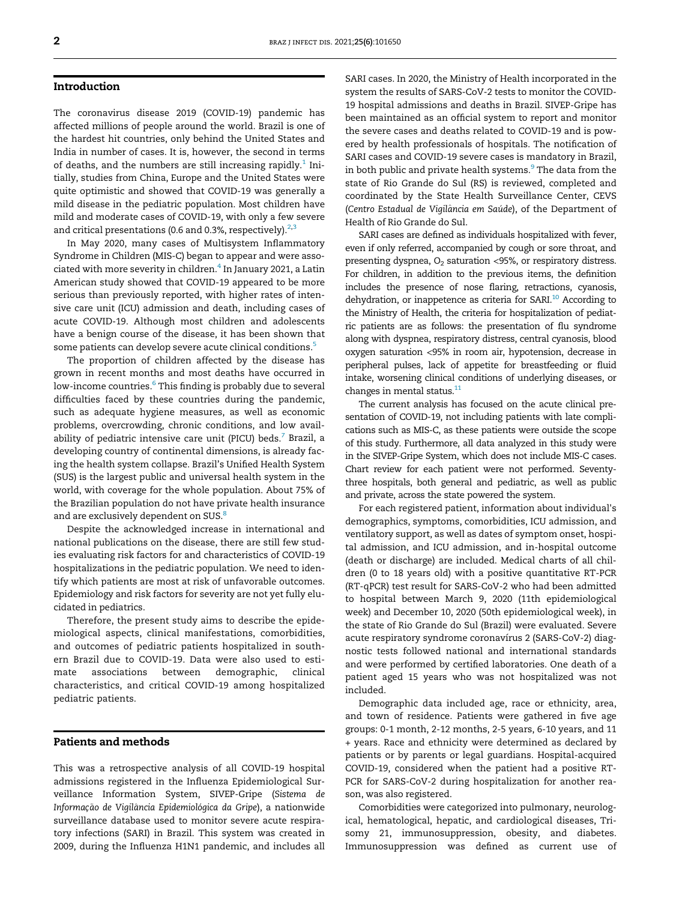#### Introduction

The coronavirus disease 2019 (COVID-19) pandemic has affected millions of people around the world. Brazil is one of the hardest hit countries, only behind the United States and India in number of cases. It is, however, the second in terms of deaths, and the numbers are still increasing rapidly.<sup>[1](#page-6-0)</sup> Initially, studies from China, Europe and the United States were quite optimistic and showed that COVID-19 was generally a mild disease in the pediatric population. Most children have mild and moderate cases of COVID-19, with only a few severe and critical presentations (0.6 and 0.3%, respectively). $2,3$  $2,3$ 

In May 2020, many cases of Multisystem Inflammatory Syndrome in Children (MIS-C) began to appear and were asso-ciated with more severity in children.<sup>[4](#page-6-3)</sup> In January 2021, a Latin American study showed that COVID-19 appeared to be more serious than previously reported, with higher rates of intensive care unit (ICU) admission and death, including cases of acute COVID-19. Although most children and adolescents have a benign course of the disease, it has been shown that some patients can develop severe acute clinical conditions.<sup>[5](#page-6-4)</sup>

The proportion of children affected by the disease has grown in recent months and most deaths have occurred in low-income countries.<sup>[6](#page-6-5)</sup> This finding is probably due to several difficulties faced by these countries during the pandemic, such as adequate hygiene measures, as well as economic problems, overcrowding, chronic conditions, and low availability of pediatric intensive care unit (PICU) beds. $<sup>7</sup>$  $<sup>7</sup>$  $<sup>7</sup>$  Brazil, a</sup> developing country of continental dimensions, is already facing the health system collapse. Brazil's Unified Health System (SUS) is the largest public and universal health system in the world, with coverage for the whole population. About 75% of the Brazilian population do not have private health insurance and are exclusively dependent on SUS.<sup>[8](#page-6-7)</sup>

Despite the acknowledged increase in international and national publications on the disease, there are still few studies evaluating risk factors for and characteristics of COVID-19 hospitalizations in the pediatric population. We need to identify which patients are most at risk of unfavorable outcomes. Epidemiology and risk factors for severity are not yet fully elucidated in pediatrics.

Therefore, the present study aims to describe the epidemiological aspects, clinical manifestations, comorbidities, and outcomes of pediatric patients hospitalized in southern Brazil due to COVID-19. Data were also used to estimate associations between demographic, clinical characteristics, and critical COVID-19 among hospitalized pediatric patients.

#### Patients and methods

This was a retrospective analysis of all COVID-19 hospital admissions registered in the Influenza Epidemiological Surveillance Information System, SIVEP-Gripe (Sistema de Informação de Vigilância Epidemiológica da Gripe), a nationwide surveillance database used to monitor severe acute respiratory infections (SARI) in Brazil. This system was created in 2009, during the Influenza H1N1 pandemic, and includes all

SARI cases. In 2020, the Ministry of Health incorporated in the system the results of SARS-CoV-2 tests to monitor the COVID-19 hospital admissions and deaths in Brazil. SIVEP-Gripe has been maintained as an official system to report and monitor the severe cases and deaths related to COVID-19 and is powered by health professionals of hospitals. The notification of SARI cases and COVID-19 severe cases is mandatory in Brazil, in both public and private health systems.<sup>[9](#page-6-8)</sup> The data from the state of Rio Grande do Sul (RS) is reviewed, completed and coordinated by the State Health Surveillance Center, CEVS (Centro Estadual de Vigilância em Saúde), of the Department of Health of Rio Grande do Sul.

SARI cases are defined as individuals hospitalized with fever, even if only referred, accompanied by cough or sore throat, and presenting dyspnea,  $O_2$  saturation <95%, or respiratory distress. For children, in addition to the previous items, the definition includes the presence of nose flaring, retractions, cyanosis, dehydration, or inappetence as criteria for SARI.<sup>[10](#page-6-9)</sup> According to the Ministry of Health, the criteria for hospitalization of pediatric patients are as follows: the presentation of flu syndrome along with dyspnea, respiratory distress, central cyanosis, blood oxygen saturation <95% in room air, hypotension, decrease in peripheral pulses, lack of appetite for breastfeeding or fluid intake, worsening clinical conditions of underlying diseases, or changes in mental status. $11$ 

The current analysis has focused on the acute clinical presentation of COVID-19, not including patients with late complications such as MIS-C, as these patients were outside the scope of this study. Furthermore, all data analyzed in this study were in the SIVEP-Gripe System, which does not include MIS-C cases. Chart review for each patient were not performed. Seventythree hospitals, both general and pediatric, as well as public and private, across the state powered the system.

For each registered patient, information about individual's demographics, symptoms, comorbidities, ICU admission, and ventilatory support, as well as dates of symptom onset, hospital admission, and ICU admission, and in-hospital outcome (death or discharge) are included. Medical charts of all children (0 to 18 years old) with a positive quantitative RT-PCR (RT-qPCR) test result for SARS-CoV-2 who had been admitted to hospital between March 9, 2020 (11th epidemiological week) and December 10, 2020 (50th epidemiological week), in the state of Rio Grande do Sul (Brazil) were evaluated. Severe acute respiratory syndrome coronavírus 2 (SARS-CoV-2) diagnostic tests followed national and international standards and were performed by certified laboratories. One death of a patient aged 15 years who was not hospitalized was not included.

Demographic data included age, race or ethnicity, area, and town of residence. Patients were gathered in five age groups: 0-1 month, 2-12 months, 2-5 years, 6-10 years, and 11 + years. Race and ethnicity were determined as declared by patients or by parents or legal guardians. Hospital-acquired COVID-19, considered when the patient had a positive RT-PCR for SARS-CoV-2 during hospitalization for another reason, was also registered.

Comorbidities were categorized into pulmonary, neurological, hematological, hepatic, and cardiological diseases, Trisomy 21, immunosuppression, obesity, and diabetes. Immunosuppression was defined as current use of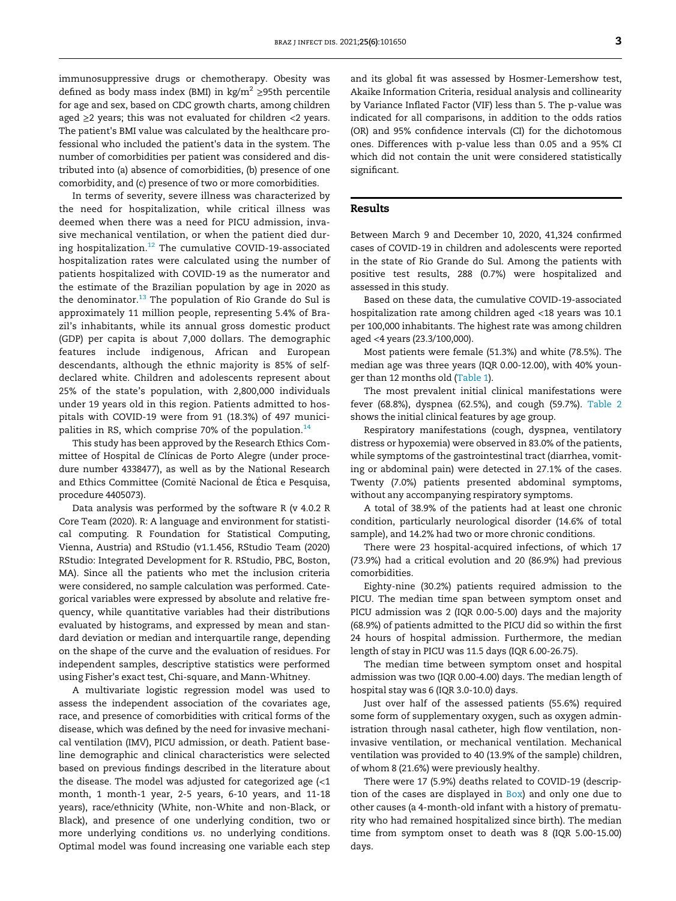immunosuppressive drugs or chemotherapy. Obesity was defined as body mass index (BMI) in kg/m<sup>2</sup>  $\geq$ 95th percentile for age and sex, based on CDC growth charts, among children aged  $\geq$ 2 years; this was not evaluated for children <2 years. The patient's BMI value was calculated by the healthcare professional who included the patient's data in the system. The number of comorbidities per patient was considered and distributed into (a) absence of comorbidities, (b) presence of one comorbidity, and (c) presence of two or more comorbidities.

In terms of severity, severe illness was characterized by the need for hospitalization, while critical illness was deemed when there was a need for PICU admission, invasive mechanical ventilation, or when the patient died during hospitalization.[12](#page-6-11) The cumulative COVID-19-associated hospitalization rates were calculated using the number of patients hospitalized with COVID-19 as the numerator and the estimate of the Brazilian population by age in 2020 as the denominator. $^{13}$  $^{13}$  $^{13}$  The population of Rio Grande do Sul is approximately 11 million people, representing 5.4% of Brazil's inhabitants, while its annual gross domestic product (GDP) per capita is about 7,000 dollars. The demographic features include indigenous, African and European descendants, although the ethnic majority is 85% of selfdeclared white. Children and adolescents represent about 25% of the state's population, with 2,800,000 individuals under 19 years old in this region. Patients admitted to hospitals with COVID-19 were from 91 (18.3%) of 497 municipalities in RS, which comprise 70% of the population. $14$ 

This study has been approved by the Research Ethics Committee of Hospital de Clínicas de Porto Alegre (under procedure number 4338477), as well as by the National Research and Ethics Committee (Comitê Nacional de Ética e Pesquisa, procedure 4405073).

Data analysis was performed by the software R (v 4.0.2 R Core Team (2020). R: A language and environment for statistical computing. R Foundation for Statistical Computing, Vienna, Austria) and RStudio (v1.1.456, RStudio Team (2020) RStudio: Integrated Development for R. RStudio, PBC, Boston, MA). Since all the patients who met the inclusion criteria were considered, no sample calculation was performed. Categorical variables were expressed by absolute and relative frequency, while quantitative variables had their distributions evaluated by histograms, and expressed by mean and standard deviation or median and interquartile range, depending on the shape of the curve and the evaluation of residues. For independent samples, descriptive statistics were performed using Fisher's exact test, Chi-square, and Mann-Whitney.

A multivariate logistic regression model was used to assess the independent association of the covariates age, race, and presence of comorbidities with critical forms of the disease, which was defined by the need for invasive mechanical ventilation (IMV), PICU admission, or death. Patient baseline demographic and clinical characteristics were selected based on previous findings described in the literature about the disease. The model was adjusted for categorized age (<1 month, 1 month-1 year, 2-5 years, 6-10 years, and 11-18 years), race/ethnicity (White, non-White and non-Black, or Black), and presence of one underlying condition, two or more underlying conditions vs. no underlying conditions. Optimal model was found increasing one variable each step

and its global fit was assessed by Hosmer-Lemershow test, Akaike Information Criteria, residual analysis and collinearity by Variance Inflated Factor (VIF) less than 5. The p-value was indicated for all comparisons, in addition to the odds ratios (OR) and 95% confidence intervals (CI) for the dichotomous ones. Differences with p-value less than 0.05 and a 95% CI which did not contain the unit were considered statistically significant.

#### Results

Between March 9 and December 10, 2020, 41,324 confirmed cases of COVID-19 in children and adolescents were reported in the state of Rio Grande do Sul. Among the patients with positive test results, 288 (0.7%) were hospitalized and assessed in this study.

Based on these data, the cumulative COVID-19-associated hospitalization rate among children aged <18 years was 10.1 per 100,000 inhabitants. The highest rate was among children aged <4 years (23.3/100,000).

Most patients were female (51.3%) and white (78.5%). The median age was three years (IQR 0.00-12.00), with 40% younger than 12 months old ([Table 1](#page-3-0)).

The most prevalent initial clinical manifestations were fever (68.8%), dyspnea (62.5%), and cough (59.7%). [Table 2](#page-4-0) shows the initial clinical features by age group.

Respiratory manifestations (cough, dyspnea, ventilatory distress or hypoxemia) were observed in 83.0% of the patients, while symptoms of the gastrointestinal tract (diarrhea, vomiting or abdominal pain) were detected in 27.1% of the cases. Twenty (7.0%) patients presented abdominal symptoms, without any accompanying respiratory symptoms.

A total of 38.9% of the patients had at least one chronic condition, particularly neurological disorder (14.6% of total sample), and 14.2% had two or more chronic conditions.

There were 23 hospital-acquired infections, of which 17 (73.9%) had a critical evolution and 20 (86.9%) had previous comorbidities.

Eighty-nine (30.2%) patients required admission to the PICU. The median time span between symptom onset and PICU admission was 2 (IQR 0.00-5.00) days and the majority (68.9%) of patients admitted to the PICU did so within the first 24 hours of hospital admission. Furthermore, the median length of stay in PICU was 11.5 days (IQR 6.00-26.75).

The median time between symptom onset and hospital admission was two (IQR 0.00-4.00) days. The median length of hospital stay was 6 (IQR 3.0-10.0) days.

Just over half of the assessed patients (55.6%) required some form of supplementary oxygen, such as oxygen administration through nasal catheter, high flow ventilation, noninvasive ventilation, or mechanical ventilation. Mechanical ventilation was provided to 40 (13.9% of the sample) children, of whom 8 (21.6%) were previously healthy.

There were 17 (5.9%) deaths related to COVID-19 (description of the cases are displayed in Box) and only one due to other causes (a 4-month-old infant with a history of prematurity who had remained hospitalized since birth). The median time from symptom onset to death was 8 (IQR 5.00-15.00) days.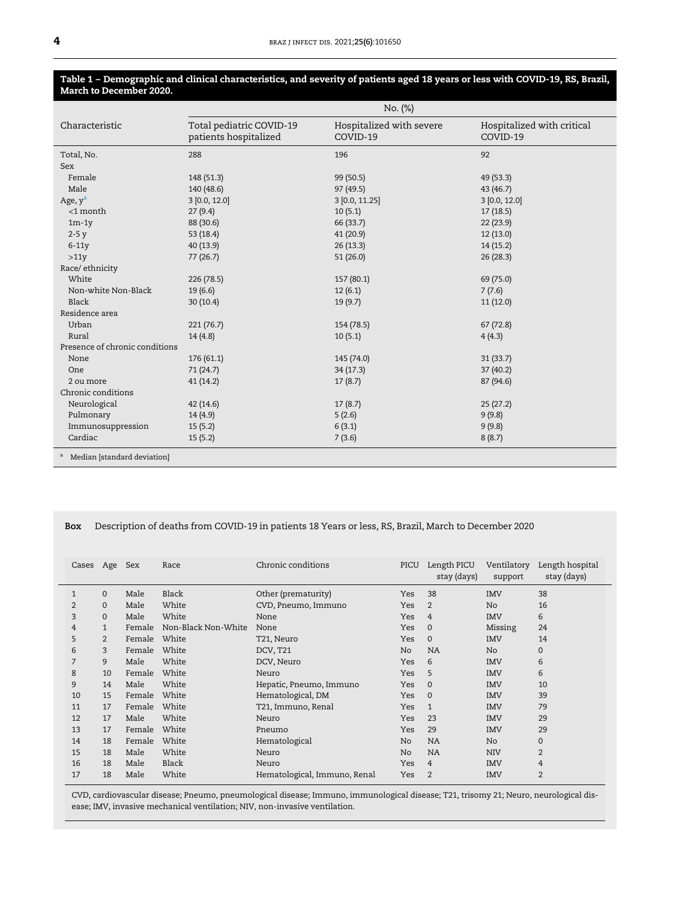#### <span id="page-3-0"></span>Table 1 – Demographic and clinical characteristics, and severity of patients aged 18 years or less with COVID-19, RS, Brazil, March to December 2020.

|                                          | No. (%)                                           |                                      |                                        |  |  |  |
|------------------------------------------|---------------------------------------------------|--------------------------------------|----------------------------------------|--|--|--|
| Characteristic                           | Total pediatric COVID-19<br>patients hospitalized | Hospitalized with severe<br>COVID-19 | Hospitalized with critical<br>COVID-19 |  |  |  |
| Total, No.                               | 288                                               | 196                                  | 92                                     |  |  |  |
| Sex                                      |                                                   |                                      |                                        |  |  |  |
| Female                                   | 148 (51.3)                                        | 99 (50.5)                            | 49 (53.3)                              |  |  |  |
| Male                                     | 140 (48.6)                                        | 97 (49.5)                            | 43 (46.7)                              |  |  |  |
| Age, $y^a$                               | $3$ [0.0, 12.0]                                   | 3 [0.0, 11.25]                       | 3 [0.0, 12.0]                          |  |  |  |
| $<$ 1 month                              | 27(9.4)                                           | 10(5.1)                              | 17(18.5)                               |  |  |  |
| $1m-1y$                                  | 88 (30.6)                                         | 66 (33.7)                            | 22(23.9)                               |  |  |  |
| $2-5y$                                   | 53 (18.4)                                         | 41(20.9)                             | 12(13.0)                               |  |  |  |
| $6-11y$                                  | 40 (13.9)                                         | 26(13.3)                             | 14 (15.2)                              |  |  |  |
| >11y                                     | 77(26.7)                                          | 51(26.0)                             | 26(28.3)                               |  |  |  |
| Race/ethnicity                           |                                                   |                                      |                                        |  |  |  |
| White                                    | 226(78.5)                                         | 157 (80.1)                           | 69 (75.0)                              |  |  |  |
| Non-white Non-Black                      | 19(6.6)                                           | 12(6.1)                              | 7(7.6)                                 |  |  |  |
| Black                                    | 30(10.4)                                          | 19(9.7)                              | 11(12.0)                               |  |  |  |
| Residence area                           |                                                   |                                      |                                        |  |  |  |
| Urban                                    | 221(76.7)                                         | 154 (78.5)                           | 67(72.8)                               |  |  |  |
| Rural                                    | 14(4.8)                                           | 10(5.1)                              | 4(4.3)                                 |  |  |  |
| Presence of chronic conditions           |                                                   |                                      |                                        |  |  |  |
| None                                     | 176(61.1)                                         | 145 (74.0)                           | 31(33.7)                               |  |  |  |
| One                                      | 71(24.7)                                          | 34(17.3)                             | 37 (40.2)                              |  |  |  |
| 2 ou more                                | 41(14.2)                                          | 17(8.7)                              | 87 (94.6)                              |  |  |  |
| Chronic conditions                       |                                                   |                                      |                                        |  |  |  |
| Neurological                             | 42(14.6)                                          | 17(8.7)                              | 25(27.2)                               |  |  |  |
| Pulmonary                                | 14(4.9)                                           | 5(2.6)                               | 9(9.8)                                 |  |  |  |
| Immunosuppression                        | 15(5.2)                                           | 6(3.1)                               | 9(9.8)                                 |  |  |  |
| Cardiac                                  | 15(5.2)                                           | 7(3.6)                               | 8(8.7)                                 |  |  |  |
| <sup>a</sup> Median [standard deviation] |                                                   |                                      |                                        |  |  |  |

#### <span id="page-3-1"></span>Box Description of deaths from COVID-19 in patients 18 Years or less, RS, Brazil, March to December 2020

| Cases          | Age            | Sex    | Race                | Chronic conditions           | PICU       | Length PICU<br>stay (days) | Ventilatory<br>support | Length hospital<br>stay (days) |
|----------------|----------------|--------|---------------------|------------------------------|------------|----------------------------|------------------------|--------------------------------|
| $\mathbf{1}$   | $\Omega$       | Male   | Black               | Other (prematurity)          | <b>Yes</b> | 38                         | <b>IMV</b>             | 38                             |
| $\overline{2}$ | $\Omega$       | Male   | White               | CVD, Pneumo, Immuno          | <b>Yes</b> | $\overline{2}$             | No.                    | 16                             |
| 3              | $\Omega$       | Male   | White               | None                         | <b>Yes</b> | 4                          | <b>IMV</b>             | 6                              |
| 4              | $\mathbf{1}$   | Female | Non-Black Non-White | None                         | Yes        | $\mathbf{0}$               | Missing                | 24                             |
| 5              | $\overline{2}$ | Female | White               | T21, Neuro                   | Yes        | $\mathbf{0}$               | <b>IMV</b>             | 14                             |
| 6              | 3              | Female | White               | DCV, T <sub>21</sub>         | No         | <b>NA</b>                  | No.                    | 0                              |
| $\overline{7}$ | 9              | Male   | White               | DCV, Neuro                   | <b>Yes</b> | 6                          | <b>IMV</b>             | 6                              |
| 8              | 10             | Female | White               | Neuro                        | <b>Yes</b> | 5                          | <b>IMV</b>             | 6                              |
| 9              | 14             | Male   | White               | Hepatic, Pneumo, Immuno      | <b>Yes</b> | $\mathbf{0}$               | <b>IMV</b>             | 10                             |
| 10             | 15             | Female | White               | Hematological, DM            | Yes        | $\mathbf{0}$               | <b>IMV</b>             | 39                             |
| 11             | 17             | Female | White               | T21, Immuno, Renal           | <b>Yes</b> | $\mathbf{1}$               | <b>IMV</b>             | 79                             |
| 12             | 17             | Male   | White               | Neuro                        | Yes        | 23                         | <b>IMV</b>             | 29                             |
| 13             | 17             | Female | White               | Pneumo                       | <b>Yes</b> | 29                         | <b>IMV</b>             | 29                             |
| 14             | 18             | Female | White               | Hematological                | No         | <b>NA</b>                  | No.                    | $\Omega$                       |
| 15             | 18             | Male   | White               | Neuro                        | No         | NA                         | <b>NIV</b>             | $\overline{2}$                 |
| 16             | 18             | Male   | Black               | Neuro                        | <b>Yes</b> | $\overline{4}$             | <b>IMV</b>             | 4                              |
| 17             | 18             | Male   | White               | Hematological, Immuno, Renal | Yes        | 2                          | <b>IMV</b>             | $\overline{2}$                 |
|                |                |        |                     |                              |            |                            |                        |                                |

CVD, cardiovascular disease; Pneumo, pneumological disease; Immuno, immunological disease; T21, trisomy 21; Neuro, neurological disease; IMV, invasive mechanical ventilation; NIV, non-invasive ventilation.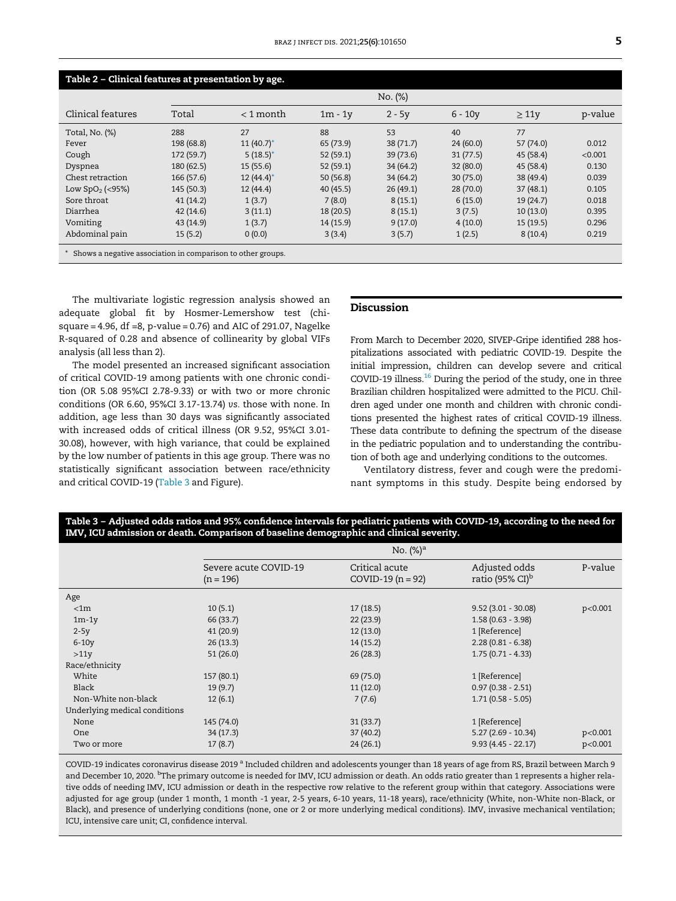<span id="page-4-0"></span>

| Table 2 - Clinical features at presentation by age.         |            |              |           |           |           |            |         |
|-------------------------------------------------------------|------------|--------------|-----------|-----------|-----------|------------|---------|
|                                                             | No. (%)    |              |           |           |           |            |         |
| Clinical features                                           | Total      | $<$ 1 month  | $1m - 1v$ | $2 - 5y$  | $6 - 10v$ | $\geq 11y$ | p-value |
| Total, No. (%)                                              | 288        | 27           | 88        | 53        | 40        | 77         |         |
| Fever                                                       | 198 (68.8) | $11(40.7)^*$ | 65 (73.9) | 38 (71.7) | 24(60.0)  | 57 (74.0)  | 0.012   |
| Cough                                                       | 172 (59.7) | $5(18.5)^*$  | 52(59.1)  | 39(73.6)  | 31(77.5)  | 45 (58.4)  | < 0.001 |
| Dyspnea                                                     | 180 (62.5) | 15(55.6)     | 52(59.1)  | 34 (64.2) | 32 (80.0) | 45 (58.4)  | 0.130   |
| Chest retraction                                            | 166 (57.6) | $12(44.4)^*$ | 50(56.8)  | 34(64.2)  | 30(75.0)  | 38 (49.4)  | 0.039   |
| Low $SpO2$ (<95%)                                           | 145 (50.3) | 12(44.4)     | 40(45.5)  | 26(49.1)  | 28 (70.0) | 37(48.1)   | 0.105   |
| Sore throat                                                 | 41(14.2)   | 1(3.7)       | 7(8.0)    | 8(15.1)   | 6(15.0)   | 19(24.7)   | 0.018   |
| Diarrhea                                                    | 42(14.6)   | 3(11.1)      | 18(20.5)  | 8(15.1)   | 3(7.5)    | 10(13.0)   | 0.395   |
| Vomiting                                                    | 43 (14.9)  | 1(3.7)       | 14 (15.9) | 9(17.0)   | 4(10.0)   | 15(19.5)   | 0.296   |
| Abdominal pain                                              | 15(5.2)    | 0(0.0)       | 3(3.4)    | 3(5.7)    | 1(2.5)    | 8(10.4)    | 0.219   |
| Shows a negative association in comparison to other groups. |            |              |           |           |           |            |         |

<span id="page-4-2"></span>The multivariate logistic regression analysis showed an adequate global fit by Hosmer-Lemershow test (chisquare = 4.96, df =8, p-value = 0.76) and AIC of 291.07, Nagelke R-squared of 0.28 and absence of collinearity by global VIFs analysis (all less than 2).

The model presented an increased significant association of critical COVID-19 among patients with one chronic condition (OR 5.08 95%CI 2.78-9.33) or with two or more chronic conditions (OR 6.60, 95%CI 3.17-13.74) vs. those with none. In addition, age less than 30 days was significantly associated with increased odds of critical illness (OR 9.52, 95%CI 3.01- 30.08), however, with high variance, that could be explained by the low number of patients in this age group. There was no statistically significant association between race/ethnicity and critical COVID-19 [\(Table 3](#page-4-1) and Figure).

#### Discussion

From March to December 2020, SIVEP-Gripe identified 288 hospitalizations associated with pediatric COVID-19. Despite the initial impression, children can develop severe and critical COVID-19 illness. $16$  During the period of the study, one in three Brazilian children hospitalized were admitted to the PICU. Children aged under one month and children with chronic conditions presented the highest rates of critical COVID-19 illness. These data contribute to defining the spectrum of the disease in the pediatric population and to understanding the contribution of both age and underlying conditions to the outcomes.

Ventilatory distress, fever and cough were the predominant symptoms in this study. Despite being endorsed by

#### <span id="page-4-1"></span>Table 3 – Adjusted odds ratios and 95% confidence intervals for pediatric patients with COVID-19, according to the need for IMV, ICU admission or death. Comparison of baseline demographic and clinical severity.

|                               | No. $(\%)^a$                         |                                       |                                              |         |  |  |
|-------------------------------|--------------------------------------|---------------------------------------|----------------------------------------------|---------|--|--|
|                               | Severe acute COVID-19<br>$(n = 196)$ | Critical acute<br>$COVID-19 (n = 92)$ | Adjusted odds<br>ratio (95% CI) <sup>b</sup> | P-value |  |  |
| Age                           |                                      |                                       |                                              |         |  |  |
| < 1m                          | 10(5.1)                              | 17(18.5)                              | $9.52(3.01 - 30.08)$                         | p<0.001 |  |  |
| $1m-1y$                       | 66 (33.7)                            | 22(23.9)                              | $1.58(0.63 - 3.98)$                          |         |  |  |
| $2-5y$                        | 41(20.9)                             | 12(13.0)                              | 1 [Reference]                                |         |  |  |
| $6-10y$                       | 26(13.3)                             | 14(15.2)                              | $2.28(0.81 - 6.38)$                          |         |  |  |
| >11y                          | 51(26.0)                             | 26(28.3)                              | $1.75(0.71 - 4.33)$                          |         |  |  |
| Race/ethnicity                |                                      |                                       |                                              |         |  |  |
| White                         | 157 (80.1)                           | 69 (75.0)                             | 1 [Reference]                                |         |  |  |
| Black                         | 19(9.7)                              | 11(12.0)                              | $0.97(0.38 - 2.51)$                          |         |  |  |
| Non-White non-black           | 12(6.1)                              | 7(7.6)                                | $1.71(0.58 - 5.05)$                          |         |  |  |
| Underlying medical conditions |                                      |                                       |                                              |         |  |  |
| None                          | 145 (74.0)                           | 31(33.7)                              | 1 [Reference]                                |         |  |  |
| <b>One</b>                    | 34(17.3)                             | 37(40.2)                              | $5.27(2.69 - 10.34)$                         | p<0.001 |  |  |
| Two or more                   | 17(8.7)                              | 24(26.1)                              | $9.93(4.45 - 22.17)$                         | p<0.001 |  |  |

COVID-19 indicates coronavirus disease 2019 <sup>a</sup> Included children and adolescents younger than 18 years of age from RS, Brazil between March 9 and December 10, 2020. <sup>b</sup>The primary outcome is needed for IMV, ICU admission or death. An odds ratio greater than 1 represents a higher relative odds of needing IMV, ICU admission or death in the respective row relative to the referent group within that category. Associations were adjusted for age group (under 1 month, 1 month -1 year, 2-5 years, 6-10 years, 11-18 years), race/ethnicity (White, non-White non-Black, or Black), and presence of underlying conditions (none, one or 2 or more underlying medical conditions). IMV, invasive mechanical ventilation; ICU, intensive care unit; CI, confidence interval.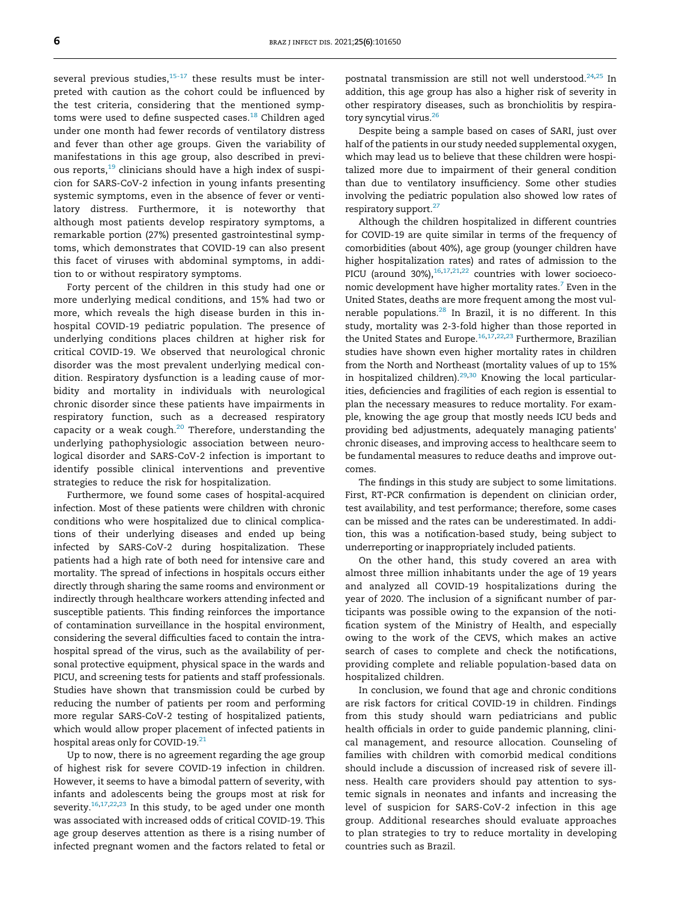several previous studies, $15-17$  these results must be interpreted with caution as the cohort could be influenced by the test criteria, considering that the mentioned symp-toms were used to define suspected cases.<sup>[18](#page-7-0)</sup> Children aged under one month had fewer records of ventilatory distress and fever than other age groups. Given the variability of manifestations in this age group, also described in previ-ous reports,<sup>[19](#page-7-1)</sup> clinicians should have a high index of suspicion for SARS-CoV-2 infection in young infants presenting systemic symptoms, even in the absence of fever or ventilatory distress. Furthermore, it is noteworthy that although most patients develop respiratory symptoms, a remarkable portion (27%) presented gastrointestinal symptoms, which demonstrates that COVID-19 can also present this facet of viruses with abdominal symptoms, in addition to or without respiratory symptoms.

Forty percent of the children in this study had one or more underlying medical conditions, and 15% had two or more, which reveals the high disease burden in this inhospital COVID-19 pediatric population. The presence of underlying conditions places children at higher risk for critical COVID-19. We observed that neurological chronic disorder was the most prevalent underlying medical condition. Respiratory dysfunction is a leading cause of morbidity and mortality in individuals with neurological chronic disorder since these patients have impairments in respiratory function, such as a decreased respiratory capacity or a weak cough. $20$  Therefore, understanding the underlying pathophysiologic association between neurological disorder and SARS-CoV-2 infection is important to identify possible clinical interventions and preventive strategies to reduce the risk for hospitalization.

Furthermore, we found some cases of hospital-acquired infection. Most of these patients were children with chronic conditions who were hospitalized due to clinical complications of their underlying diseases and ended up being infected by SARS-CoV-2 during hospitalization. These patients had a high rate of both need for intensive care and mortality. The spread of infections in hospitals occurs either directly through sharing the same rooms and environment or indirectly through healthcare workers attending infected and susceptible patients. This finding reinforces the importance of contamination surveillance in the hospital environment, considering the several difficulties faced to contain the intrahospital spread of the virus, such as the availability of personal protective equipment, physical space in the wards and PICU, and screening tests for patients and staff professionals. Studies have shown that transmission could be curbed by reducing the number of patients per room and performing more regular SARS-CoV-2 testing of hospitalized patients, which would allow proper placement of infected patients in hospital areas only for COVID-19.<sup>[21](#page-7-3)</sup>

Up to now, there is no agreement regarding the age group of highest risk for severe COVID-19 infection in children. However, it seems to have a bimodal pattern of severity, with infants and adolescents being the groups most at risk for severity.<sup>[16](#page-6-14)[,17](#page-6-16),[22](#page-7-4),[23](#page-7-5)</sup> In this study, to be aged under one month was associated with increased odds of critical COVID-19. This age group deserves attention as there is a rising number of infected pregnant women and the factors related to fetal or

postnatal transmission are still not well understood.<sup>[24,](#page-7-6)[25](#page-7-7)</sup> In addition, this age group has also a higher risk of severity in other respiratory diseases, such as bronchiolitis by respira-tory syncytial virus.<sup>[26](#page-7-8)</sup>

Despite being a sample based on cases of SARI, just over half of the patients in our study needed supplemental oxygen, which may lead us to believe that these children were hospitalized more due to impairment of their general condition than due to ventilatory insufficiency. Some other studies involving the pediatric population also showed low rates of respiratory support.<sup>[27](#page-7-9)</sup>

Although the children hospitalized in different countries for COVID-19 are quite similar in terms of the frequency of comorbidities (about 40%), age group (younger children have higher hospitalization rates) and rates of admission to the PICU (around 30%), $16,17,21,22$  $16,17,21,22$  $16,17,21,22$  $16,17,21,22$  $16,17,21,22$  countries with lower socioeconomic development have higher mortality rates. $7$  Even in the United States, deaths are more frequent among the most vulnerable populations.[28](#page-7-10) In Brazil, it is no different. In this study, mortality was 2-3-fold higher than those reported in the United States and Europe.<sup>[16](#page-6-14)[,17,](#page-6-16)[22](#page-7-4),[23](#page-7-5)</sup> Furthermore, Brazilian studies have shown even higher mortality rates in children from the North and Northeast (mortality values of up to 15% in hospitalized children).<sup>[29,](#page-7-11)[30](#page-7-12)</sup> Knowing the local particularities, deficiencies and fragilities of each region is essential to plan the necessary measures to reduce mortality. For example, knowing the age group that mostly needs ICU beds and providing bed adjustments, adequately managing patients' chronic diseases, and improving access to healthcare seem to be fundamental measures to reduce deaths and improve outcomes.

The findings in this study are subject to some limitations. First, RT-PCR confirmation is dependent on clinician order, test availability, and test performance; therefore, some cases can be missed and the rates can be underestimated. In addition, this was a notification-based study, being subject to underreporting or inappropriately included patients.

On the other hand, this study covered an area with almost three million inhabitants under the age of 19 years and analyzed all COVID-19 hospitalizations during the year of 2020. The inclusion of a significant number of participants was possible owing to the expansion of the notification system of the Ministry of Health, and especially owing to the work of the CEVS, which makes an active search of cases to complete and check the notifications, providing complete and reliable population-based data on hospitalized children.

In conclusion, we found that age and chronic conditions are risk factors for critical COVID-19 in children. Findings from this study should warn pediatricians and public health officials in order to guide pandemic planning, clinical management, and resource allocation. Counseling of families with children with comorbid medical conditions should include a discussion of increased risk of severe illness. Health care providers should pay attention to systemic signals in neonates and infants and increasing the level of suspicion for SARS-CoV-2 infection in this age group. Additional researches should evaluate approaches to plan strategies to try to reduce mortality in developing countries such as Brazil.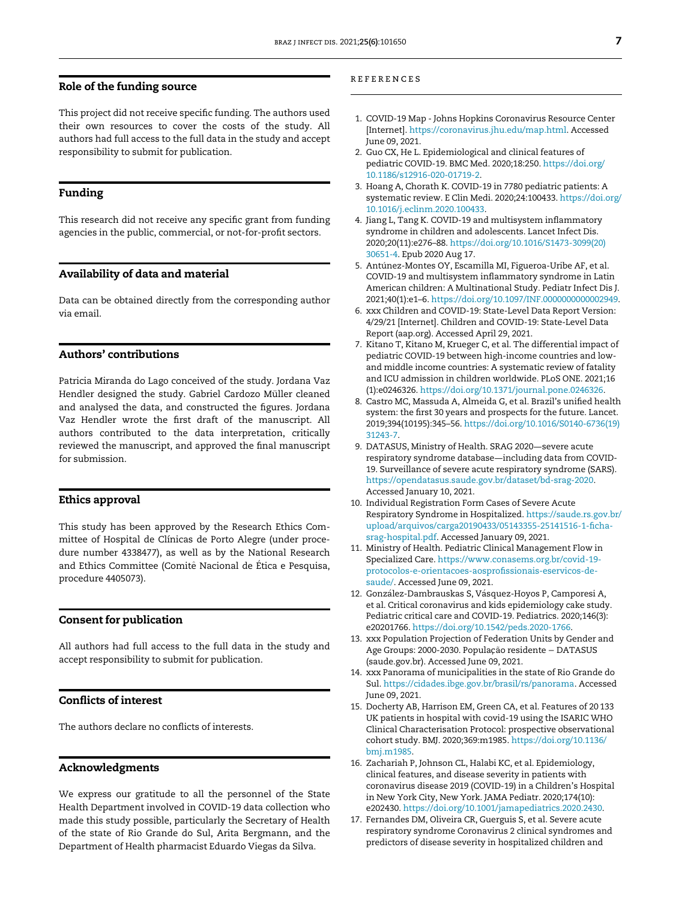#### Role of the funding source

<span id="page-6-1"></span><span id="page-6-0"></span>This project did not receive specific funding. The authors used their own resources to cover the costs of the study. All authors had full access to the full data in the study and accept responsibility to submit for publication.

#### <span id="page-6-2"></span>Funding

<span id="page-6-3"></span>This research did not receive any specific grant from funding agencies in the public, commercial, or not-for-profit sectors.

#### <span id="page-6-4"></span>Availability of data and material

<span id="page-6-5"></span>Data can be obtained directly from the corresponding author via email.

#### <span id="page-6-6"></span>Authors' contributions

<span id="page-6-7"></span>Patricia Miranda do Lago conceived of the study. Jordana Vaz Hendler designed the study. Gabriel Cardozo Müller cleaned and analysed the data, and constructed the figures. Jordana Vaz Hendler wrote the first draft of the manuscript. All authors contributed to the data interpretation, critically reviewed the manuscript, and approved the final manuscript for submission.

#### <span id="page-6-9"></span><span id="page-6-8"></span>Ethics approval

<span id="page-6-10"></span>This study has been approved by the Research Ethics Committee of Hospital de Clínicas de Porto Alegre (under procedure number 4338477), as well as by the National Research and Ethics Committee (Comitê Nacional de Ética e Pesquisa, procedure 4405073).

#### <span id="page-6-11"></span>Consent for publication

<span id="page-6-13"></span><span id="page-6-12"></span>All authors had full access to the full data in the study and accept responsibility to submit for publication.

#### <span id="page-6-15"></span>Conflicts of interest

The authors declare no conflicts of interests.

#### <span id="page-6-14"></span>Acknowledgments

<span id="page-6-16"></span>We express our gratitude to all the personnel of the State Health Department involved in COVID-19 data collection who made this study possible, particularly the Secretary of Health of the state of Rio Grande do Sul, Arita Bergmann, and the Department of Health pharmacist Eduardo Viegas da Silva.

#### references

- 1. COVID-19 Map Johns Hopkins Coronavirus Resource Center [Internet]. <https://coronavirus.jhu.edu/map.html>. Accessed June 09, 2021.
- 2. Guo CX, He L. Epidemiological and clinical features of pediatric COVID-19. BMC Med. 2020;18:250. https://doi.org/ [10.1186/s12916-020-01719-2.](https://doi.org/10.1186/s12916-020-01719-2)
- 3. Hoang A, Chorath K. COVID-19 in 7780 pediatric patients: A systematic review. E Clin Medi. 2020;24:100433. https://doi.org/ [10.1016/j.eclinm.2020.100433.](https://doi.org/10.1016/j.eclinm.2020.100433)
- 4. Jiang L, Tang K. COVID-19 and multisystem inflammatory syndrome in children and adolescents. Lancet Infect Dis. 2020;20(11):e276–88. https://doi.org[/10.1016/S1473-3099\(20\)](https://doi.org/10.1016/S1473-3099(20)30651-4) [30651-4](https://doi.org/10.1016/S1473-3099(20)30651-4). Epub 2020 Aug 17.
- 5. Antúnez-Montes OY, Escamilla MI, Figueroa-Uribe AF, et al. COVID-19 and multisystem inflammatory syndrome in Latin American children: A Multinational Study. Pediatr Infect Dis J. 2021;40(1):e1–6. https://doi.org/[10.1097/INF.0000000000002949.](https://doi.org/10.1097/INF.0000000000002949)
- 6. xxx Children and COVID-19: State-Level Data Report Version: 4/29/21 [Internet]. Children and COVID-19: State-Level Data Report (aap.org). Accessed April 29, 2021.
- 7. Kitano T, Kitano M, Krueger C, et al. The differential impact of pediatric COVID-19 between high-income countries and lowand middle income countries: A systematic review of fatality and ICU admission in children worldwide. PLoS ONE. 2021;16 (1):e0246326. https://doi.org/[10.1371/journal.pone.0246326.](https://doi.org/10.1371/journal.pone.0246326)
- 8. Castro MC, Massuda A, Almeida G, et al. Brazil's unified health system: the first 30 years and prospects for the future. Lancet. 2019;394(10195):345–56. https://doi.org/[10.1016/S0140-6736\(19\)](https://doi.org/10.1016/S0140-6736(19)31243-7) [31243-7](https://doi.org/10.1016/S0140-6736(19)31243-7).
- 9. DATASUS, Ministry of Health. SRAG 2020—severe acute respiratory syndrome database—including data from COVID-19. Surveillance of severe acute respiratory syndrome (SARS). <https://opendatasus.saude.gov.br/dataset/bd-srag-2020>. Accessed January 10, 2021.
- 10. Individual Registration Form Cases of Severe Acute Respiratory Syndrome in Hospitalized. [https://saude.rs.gov.br/](https://saude.rs.gov.br/upload/arquivos/carga20190433/05143355-25141516-1-ficha-srag-hospital.pdf) [upload/arquivos/carga20190433/05143355-25141516-1-](https://saude.rs.gov.br/upload/arquivos/carga20190433/05143355-25141516-1-ficha-srag-hospital.pdf)ficha[srag-hospital.pdf.](https://saude.rs.gov.br/upload/arquivos/carga20190433/05143355-25141516-1-ficha-srag-hospital.pdf) Accessed January 09, 2021.
- 11. Ministry of Health. Pediatric Clinical Management Flow in Specialized Care. [https://www.conasems.org.br/covid-19](https://www.conasems.org.br/covid-19-protocolos-e-orientacoes-aosprofissionais-eservicos-de-saude/) [protocolos-e-orientacoes-aospro](https://www.conasems.org.br/covid-19-protocolos-e-orientacoes-aosprofissionais-eservicos-de-saude/)fissionais-eservicos-de[saude/](https://www.conasems.org.br/covid-19-protocolos-e-orientacoes-aosprofissionais-eservicos-de-saude/). Accessed June 09, 2021.
- 12. González-Dambrauskas S, Vásquez-Hoyos P, Camporesi A, et al. Critical coronavirus and kids epidemiology cake study. Pediatric critical care and COVID-19. Pediatrics. 2020;146(3): e20201766. https://doi.org[/10.1542/peds.2020-1766.](https://doi.org/10.1542/peds.2020-1766)
- 13. xxx Population Projection of Federation Units by Gender and Age Groups: 2000-2030. População residente - DATASUS (saude.gov.br). Accessed June 09, 2021.
- 14. xxx Panorama of municipalities in the state of Rio Grande do Sul. <https://cidades.ibge.gov.br/brasil/rs/panorama>. Accessed June 09, 2021.
- 15. Docherty AB, Harrison EM, Green CA, et al. Features of 20 133 UK patients in hospital with covid-19 using the ISARIC WHO Clinical Characterisation Protocol: prospective observational cohort study. BMJ. 2020;369:m1985. https://doi.org[/10.1136/](https://doi.org/10.1136/bmj.m1985) [bmj.m1985.](https://doi.org/10.1136/bmj.m1985)
- 16. Zachariah P, Johnson CL, Halabi KC, et al. Epidemiology, clinical features, and disease severity in patients with coronavirus disease 2019 (COVID-19) in a Children's Hospital in New York City, New York. JAMA Pediatr. 2020;174(10): e202430. https://doi.org/[10.1001/jamapediatrics.2020.2430.](https://doi.org/10.1001/jamapediatrics.2020.2430)
- 17. Fernandes DM, Oliveira CR, Guerguis S, et al. Severe acute respiratory syndrome Coronavirus 2 clinical syndromes and predictors of disease severity in hospitalized children and